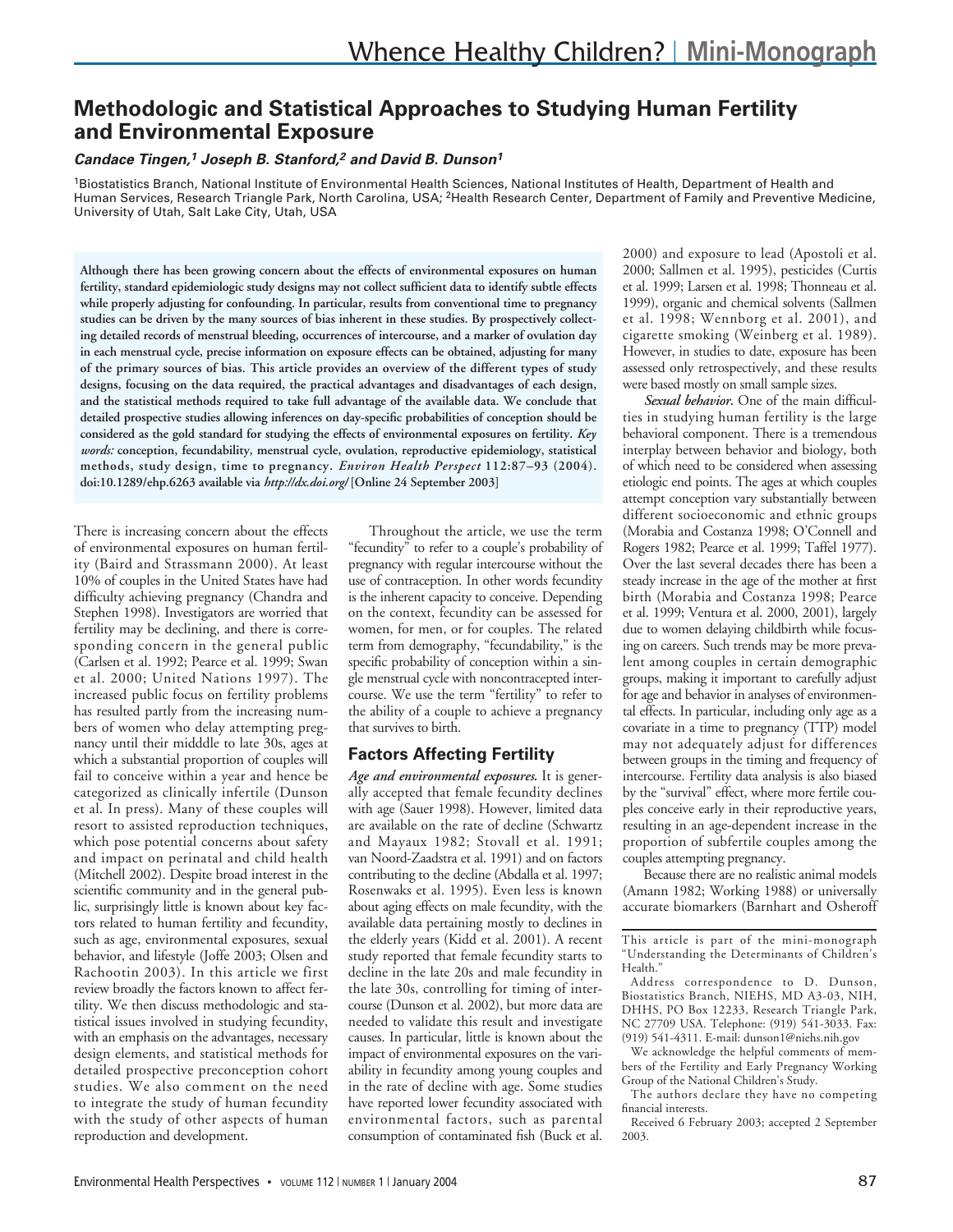# **Methodologic and Statistical Approaches to Studying Human Fertility and Environmental Exposure**

#### *Candace Tingen,1 Joseph B. Stanford,2 and David B. Dunson1*

1Biostatistics Branch, National Institute of Environmental Health Sciences, National Institutes of Health, Department of Health and Human Services, Research Triangle Park, North Carolina, USA; <sup>2</sup>Health Research Center, Department of Family and Preventive Medicine, University of Utah, Salt Lake City, Utah, USA

**Although there has been growing concern about the effects of environmental exposures on human fertility, standard epidemiologic study designs may not collect sufficient data to identify subtle effects while properly adjusting for confounding. In particular, results from conventional time to pregnancy studies can be driven by the many sources of bias inherent in these studies. By prospectively collecting detailed records of menstrual bleeding, occurrences of intercourse, and a marker of ovulation day in each menstrual cycle, precise information on exposure effects can be obtained, adjusting for many of the primary sources of bias. This article provides an overview of the different types of study designs, focusing on the data required, the practical advantages and disadvantages of each design, and the statistical methods required to take full advantage of the available data. We conclude that detailed prospective studies allowing inferences on day-specific probabilities of conception should be considered as the gold standard for studying the effects of environmental exposures on fertility.** *Key words:* **conception, fecundability, menstrual cycle, ovulation, reproductive epidemiology, statistical methods, study design, time to pregnancy.** *Environ Health Perspect* **112:87–93 (2004). doi:10.1289/ehp.6263 available via** *http://dx.doi.org/* **[Online 24 September 2003]**

There is increasing concern about the effects of environmental exposures on human fertility (Baird and Strassmann 2000). At least 10% of couples in the United States have had difficulty achieving pregnancy (Chandra and Stephen 1998). Investigators are worried that fertility may be declining, and there is corresponding concern in the general public (Carlsen et al. 1992; Pearce et al. 1999; Swan et al. 2000; United Nations 1997). The increased public focus on fertility problems has resulted partly from the increasing numbers of women who delay attempting pregnancy until their midddle to late 30s, ages at which a substantial proportion of couples will fail to conceive within a year and hence be categorized as clinically infertile (Dunson et al. In press). Many of these couples will resort to assisted reproduction techniques, which pose potential concerns about safety and impact on perinatal and child health (Mitchell 2002). Despite broad interest in the scientific community and in the general public, surprisingly little is known about key factors related to human fertility and fecundity, such as age, environmental exposures, sexual behavior, and lifestyle (Joffe 2003; Olsen and Rachootin 2003). In this article we first review broadly the factors known to affect fertility. We then discuss methodologic and statistical issues involved in studying fecundity, with an emphasis on the advantages, necessary design elements, and statistical methods for detailed prospective preconception cohort studies. We also comment on the need to integrate the study of human fecundity with the study of other aspects of human reproduction and development.

Throughout the article, we use the term "fecundity" to refer to a couple's probability of pregnancy with regular intercourse without the use of contraception. In other words fecundity is the inherent capacity to conceive. Depending on the context, fecundity can be assessed for women, for men, or for couples. The related term from demography, "fecundability," is the specific probability of conception within a single menstrual cycle with noncontracepted intercourse. We use the term "fertility" to refer to the ability of a couple to achieve a pregnancy that survives to birth.

## **Factors Affecting Fertility**

*Age and environmental exposures.* It is generally accepted that female fecundity declines with age (Sauer 1998). However, limited data are available on the rate of decline (Schwartz and Mayaux 1982; Stovall et al. 1991; van Noord-Zaadstra et al. 1991) and on factors contributing to the decline (Abdalla et al. 1997; Rosenwaks et al. 1995). Even less is known about aging effects on male fecundity, with the available data pertaining mostly to declines in the elderly years (Kidd et al. 2001). A recent study reported that female fecundity starts to decline in the late 20s and male fecundity in the late 30s, controlling for timing of intercourse (Dunson et al. 2002), but more data are needed to validate this result and investigate causes. In particular, little is known about the impact of environmental exposures on the variability in fecundity among young couples and in the rate of decline with age. Some studies have reported lower fecundity associated with environmental factors, such as parental consumption of contaminated fish (Buck et al.

2000) and exposure to lead (Apostoli et al. 2000; Sallmen et al. 1995), pesticides (Curtis et al. 1999; Larsen et al. 1998; Thonneau et al. 1999), organic and chemical solvents (Sallmen et al. 1998; Wennborg et al. 2001), and cigarette smoking (Weinberg et al. 1989). However, in studies to date, exposure has been assessed only retrospectively, and these results were based mostly on small sample sizes.

*Sexual behavior.* One of the main difficulties in studying human fertility is the large behavioral component. There is a tremendous interplay between behavior and biology, both of which need to be considered when assessing etiologic end points. The ages at which couples attempt conception vary substantially between different socioeconomic and ethnic groups (Morabia and Costanza 1998; O'Connell and Rogers 1982; Pearce et al. 1999; Taffel 1977). Over the last several decades there has been a steady increase in the age of the mother at first birth (Morabia and Costanza 1998; Pearce et al. 1999; Ventura et al. 2000, 2001), largely due to women delaying childbirth while focusing on careers. Such trends may be more prevalent among couples in certain demographic groups, making it important to carefully adjust for age and behavior in analyses of environmental effects. In particular, including only age as a covariate in a time to pregnancy (TTP) model may not adequately adjust for differences between groups in the timing and frequency of intercourse. Fertility data analysis is also biased by the "survival" effect, where more fertile couples conceive early in their reproductive years, resulting in an age-dependent increase in the proportion of subfertile couples among the couples attempting pregnancy.

Because there are no realistic animal models (Amann 1982; Working 1988) or universally accurate biomarkers (Barnhart and Osheroff

This article is part of the mini-monograph "Understanding the Determinants of Children's Health."

We acknowledge the helpful comments of members of the Fertility and Early Pregnancy Working Group of the National Children's Study.

The authors declare they have no competing financial interests.

Received 6 February 2003; accepted 2 September 2003.

Address correspondence to D. Dunson, Biostatistics Branch, NIEHS, MD A3-03, NIH, DHHS, PO Box 12233, Research Triangle Park, NC 27709 USA. Telephone: (919) 541-3033. Fax: (919) 541-4311. E-mail: dunson1@niehs.nih.gov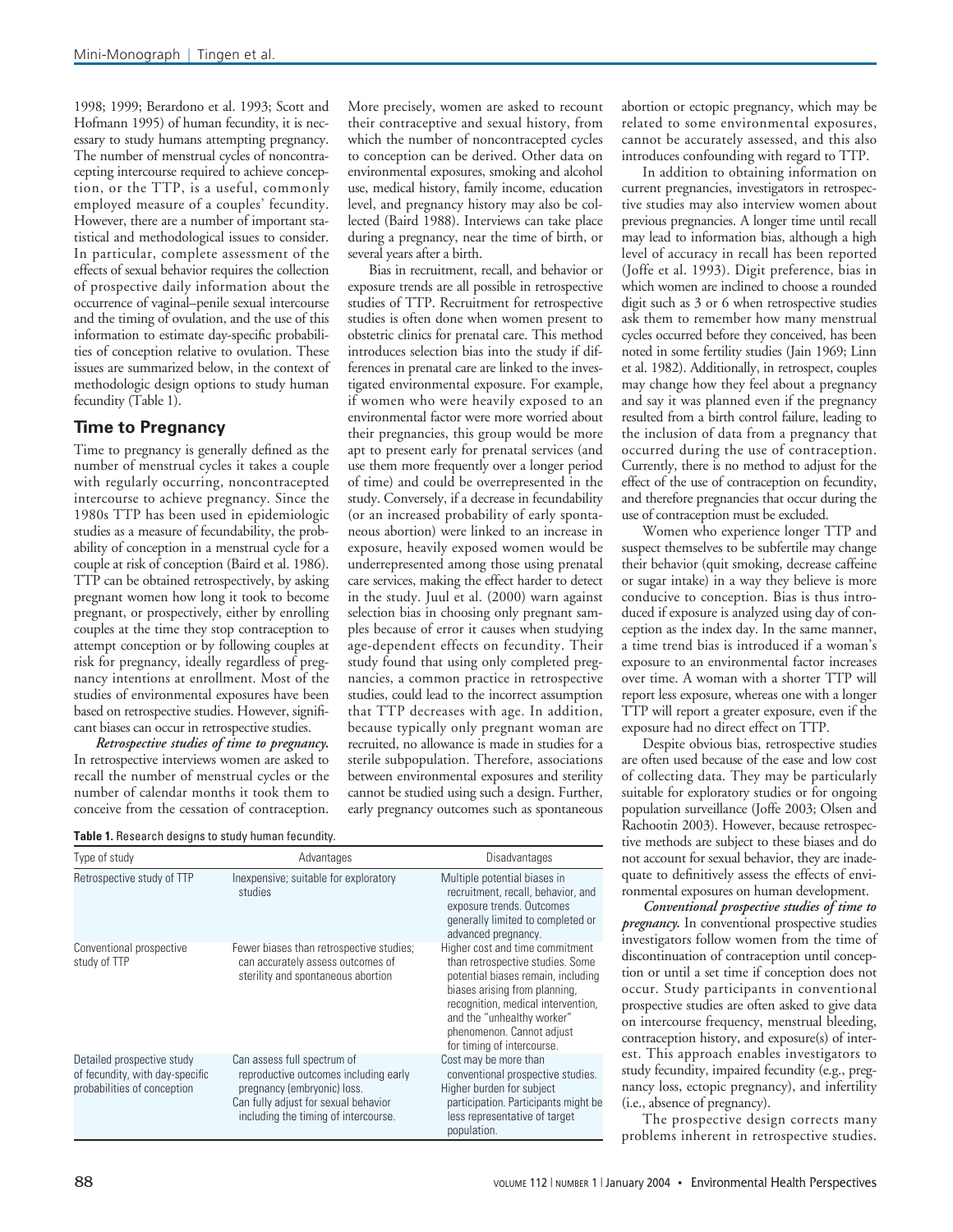1998; 1999; Berardono et al. 1993; Scott and Hofmann 1995) of human fecundity, it is necessary to study humans attempting pregnancy. The number of menstrual cycles of noncontracepting intercourse required to achieve conception, or the TTP, is a useful, commonly employed measure of a couples' fecundity. However, there are a number of important statistical and methodological issues to consider. In particular, complete assessment of the effects of sexual behavior requires the collection of prospective daily information about the occurrence of vaginal–penile sexual intercourse and the timing of ovulation, and the use of this information to estimate day-specific probabilities of conception relative to ovulation. These issues are summarized below, in the context of methodologic design options to study human fecundity (Table 1).

### **Time to Pregnancy**

Time to pregnancy is generally defined as the number of menstrual cycles it takes a couple with regularly occurring, noncontracepted intercourse to achieve pregnancy. Since the 1980s TTP has been used in epidemiologic studies as a measure of fecundability, the probability of conception in a menstrual cycle for a couple at risk of conception (Baird et al. 1986). TTP can be obtained retrospectively, by asking pregnant women how long it took to become pregnant, or prospectively, either by enrolling couples at the time they stop contraception to attempt conception or by following couples at risk for pregnancy, ideally regardless of pregnancy intentions at enrollment. Most of the studies of environmental exposures have been based on retrospective studies. However, significant biases can occur in retrospective studies.

*Retrospective studies of time to pregnancy.* In retrospective interviews women are asked to recall the number of menstrual cycles or the number of calendar months it took them to conceive from the cessation of contraception. More precisely, women are asked to recount their contraceptive and sexual history, from which the number of noncontracepted cycles to conception can be derived. Other data on environmental exposures, smoking and alcohol use, medical history, family income, education level, and pregnancy history may also be collected (Baird 1988). Interviews can take place during a pregnancy, near the time of birth, or several years after a birth.

Bias in recruitment, recall, and behavior or exposure trends are all possible in retrospective studies of TTP. Recruitment for retrospective studies is often done when women present to obstetric clinics for prenatal care. This method introduces selection bias into the study if differences in prenatal care are linked to the investigated environmental exposure. For example, if women who were heavily exposed to an environmental factor were more worried about their pregnancies, this group would be more apt to present early for prenatal services (and use them more frequently over a longer period of time) and could be overrepresented in the study. Conversely, if a decrease in fecundability (or an increased probability of early spontaneous abortion) were linked to an increase in exposure, heavily exposed women would be underrepresented among those using prenatal care services, making the effect harder to detect in the study. Juul et al. (2000) warn against selection bias in choosing only pregnant samples because of error it causes when studying age-dependent effects on fecundity. Their study found that using only completed pregnancies, a common practice in retrospective studies, could lead to the incorrect assumption that TTP decreases with age. In addition, because typically only pregnant woman are recruited, no allowance is made in studies for a sterile subpopulation. Therefore, associations between environmental exposures and sterility cannot be studied using such a design. Further, early pregnancy outcomes such as spontaneous

| Table 1. Research designs to study human fecundity. |  |  |  |
|-----------------------------------------------------|--|--|--|
|-----------------------------------------------------|--|--|--|

| Type of study                                                                                | Advantages                                                                                                                                                                          | Disadvantages                                                                                                                                                                                                                                                             |
|----------------------------------------------------------------------------------------------|-------------------------------------------------------------------------------------------------------------------------------------------------------------------------------------|---------------------------------------------------------------------------------------------------------------------------------------------------------------------------------------------------------------------------------------------------------------------------|
| Retrospective study of TTP                                                                   | Inexpensive; suitable for exploratory<br>studies                                                                                                                                    | Multiple potential biases in<br>recruitment, recall, behavior, and<br>exposure trends. Outcomes<br>generally limited to completed or<br>advanced pregnancy.                                                                                                               |
| Conventional prospective<br>study of TTP                                                     | Fewer biases than retrospective studies;<br>can accurately assess outcomes of<br>sterility and spontaneous abortion                                                                 | Higher cost and time commitment<br>than retrospective studies. Some<br>potential biases remain, including<br>biases arising from planning,<br>recognition, medical intervention,<br>and the "unhealthy worker"<br>phenomenon. Cannot adjust<br>for timing of intercourse. |
| Detailed prospective study<br>of fecundity, with day-specific<br>probabilities of conception | Can assess full spectrum of<br>reproductive outcomes including early<br>pregnancy (embryonic) loss.<br>Can fully adjust for sexual behavior<br>including the timing of intercourse. | Cost may be more than<br>conventional prospective studies.<br>Higher burden for subject<br>participation. Participants might be<br>less representative of target<br>population.                                                                                           |

abortion or ectopic pregnancy, which may be related to some environmental exposures, cannot be accurately assessed, and this also introduces confounding with regard to TTP.

In addition to obtaining information on current pregnancies, investigators in retrospective studies may also interview women about previous pregnancies. A longer time until recall may lead to information bias, although a high level of accuracy in recall has been reported (Joffe et al. 1993). Digit preference, bias in which women are inclined to choose a rounded digit such as 3 or 6 when retrospective studies ask them to remember how many menstrual cycles occurred before they conceived, has been noted in some fertility studies (Jain 1969; Linn et al. 1982). Additionally, in retrospect, couples may change how they feel about a pregnancy and say it was planned even if the pregnancy resulted from a birth control failure, leading to the inclusion of data from a pregnancy that occurred during the use of contraception. Currently, there is no method to adjust for the effect of the use of contraception on fecundity, and therefore pregnancies that occur during the use of contraception must be excluded.

Women who experience longer TTP and suspect themselves to be subfertile may change their behavior (quit smoking, decrease caffeine or sugar intake) in a way they believe is more conducive to conception. Bias is thus introduced if exposure is analyzed using day of conception as the index day. In the same manner, a time trend bias is introduced if a woman's exposure to an environmental factor increases over time. A woman with a shorter TTP will report less exposure, whereas one with a longer TTP will report a greater exposure, even if the exposure had no direct effect on TTP.

Despite obvious bias, retrospective studies are often used because of the ease and low cost of collecting data. They may be particularly suitable for exploratory studies or for ongoing population surveillance (Joffe 2003; Olsen and Rachootin 2003). However, because retrospective methods are subject to these biases and do not account for sexual behavior, they are inadequate to definitively assess the effects of environmental exposures on human development.

*Conventional prospective studies of time to pregnancy.* In conventional prospective studies investigators follow women from the time of discontinuation of contraception until conception or until a set time if conception does not occur. Study participants in conventional prospective studies are often asked to give data on intercourse frequency, menstrual bleeding, contraception history, and exposure(s) of interest. This approach enables investigators to study fecundity, impaired fecundity (e.g., pregnancy loss, ectopic pregnancy), and infertility (i.e., absence of pregnancy).

The prospective design corrects many problems inherent in retrospective studies.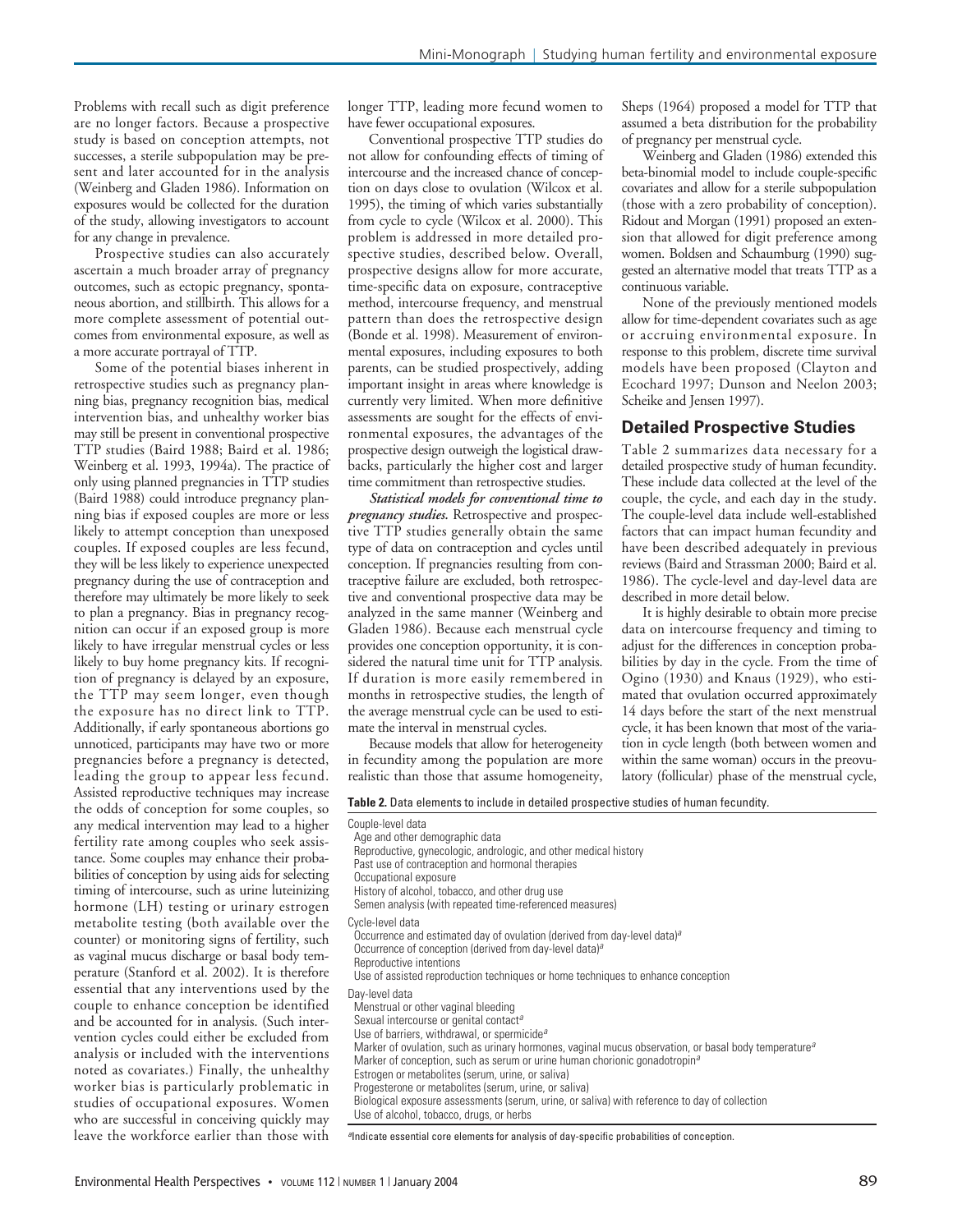Problems with recall such as digit preference are no longer factors. Because a prospective study is based on conception attempts, not successes, a sterile subpopulation may be present and later accounted for in the analysis (Weinberg and Gladen 1986). Information on exposures would be collected for the duration of the study, allowing investigators to account for any change in prevalence.

Prospective studies can also accurately ascertain a much broader array of pregnancy outcomes, such as ectopic pregnancy, spontaneous abortion, and stillbirth. This allows for a more complete assessment of potential outcomes from environmental exposure, as well as a more accurate portrayal of TTP.

Some of the potential biases inherent in retrospective studies such as pregnancy planning bias, pregnancy recognition bias, medical intervention bias, and unhealthy worker bias may still be present in conventional prospective TTP studies (Baird 1988; Baird et al. 1986; Weinberg et al. 1993, 1994a). The practice of only using planned pregnancies in TTP studies (Baird 1988) could introduce pregnancy planning bias if exposed couples are more or less likely to attempt conception than unexposed couples. If exposed couples are less fecund, they will be less likely to experience unexpected pregnancy during the use of contraception and therefore may ultimately be more likely to seek to plan a pregnancy. Bias in pregnancy recognition can occur if an exposed group is more likely to have irregular menstrual cycles or less likely to buy home pregnancy kits. If recognition of pregnancy is delayed by an exposure, the TTP may seem longer, even though the exposure has no direct link to TTP. Additionally, if early spontaneous abortions go unnoticed, participants may have two or more pregnancies before a pregnancy is detected, leading the group to appear less fecund. Assisted reproductive techniques may increase the odds of conception for some couples, so any medical intervention may lead to a higher fertility rate among couples who seek assistance. Some couples may enhance their probabilities of conception by using aids for selecting timing of intercourse, such as urine luteinizing hormone (LH) testing or urinary estrogen metabolite testing (both available over the counter) or monitoring signs of fertility, such as vaginal mucus discharge or basal body temperature (Stanford et al. 2002). It is therefore essential that any interventions used by the couple to enhance conception be identified and be accounted for in analysis. (Such intervention cycles could either be excluded from analysis or included with the interventions noted as covariates.) Finally, the unhealthy worker bias is particularly problematic in studies of occupational exposures. Women who are successful in conceiving quickly may leave the workforce earlier than those with longer TTP, leading more fecund women to have fewer occupational exposures.

Conventional prospective TTP studies do not allow for confounding effects of timing of intercourse and the increased chance of conception on days close to ovulation (Wilcox et al. 1995), the timing of which varies substantially from cycle to cycle (Wilcox et al. 2000). This problem is addressed in more detailed prospective studies, described below. Overall, prospective designs allow for more accurate, time-specific data on exposure, contraceptive method, intercourse frequency, and menstrual pattern than does the retrospective design (Bonde et al. 1998). Measurement of environmental exposures, including exposures to both parents, can be studied prospectively, adding important insight in areas where knowledge is currently very limited. When more definitive assessments are sought for the effects of environmental exposures, the advantages of the prospective design outweigh the logistical drawbacks, particularly the higher cost and larger time commitment than retrospective studies.

*Statistical models for conventional time to pregnancy studies.* Retrospective and prospective TTP studies generally obtain the same type of data on contraception and cycles until conception. If pregnancies resulting from contraceptive failure are excluded, both retrospective and conventional prospective data may be analyzed in the same manner (Weinberg and Gladen 1986). Because each menstrual cycle provides one conception opportunity, it is considered the natural time unit for TTP analysis. If duration is more easily remembered in months in retrospective studies, the length of the average menstrual cycle can be used to estimate the interval in menstrual cycles.

Because models that allow for heterogeneity in fecundity among the population are more realistic than those that assume homogeneity,

Sheps (1964) proposed a model for TTP that assumed a beta distribution for the probability of pregnancy per menstrual cycle.

Weinberg and Gladen (1986) extended this beta-binomial model to include couple-specific covariates and allow for a sterile subpopulation (those with a zero probability of conception). Ridout and Morgan (1991) proposed an extension that allowed for digit preference among women. Boldsen and Schaumburg (1990) suggested an alternative model that treats TTP as a continuous variable.

None of the previously mentioned models allow for time-dependent covariates such as age or accruing environmental exposure. In response to this problem, discrete time survival models have been proposed (Clayton and Ecochard 1997; Dunson and Neelon 2003; Scheike and Jensen 1997).

#### **Detailed Prospective Studies**

Table 2 summarizes data necessary for a detailed prospective study of human fecundity. These include data collected at the level of the couple, the cycle, and each day in the study. The couple-level data include well-established factors that can impact human fecundity and have been described adequately in previous reviews (Baird and Strassman 2000; Baird et al. 1986). The cycle-level and day-level data are described in more detail below.

It is highly desirable to obtain more precise data on intercourse frequency and timing to adjust for the differences in conception probabilities by day in the cycle. From the time of Ogino (1930) and Knaus (1929), who estimated that ovulation occurred approximately 14 days before the start of the next menstrual cycle, it has been known that most of the variation in cycle length (both between women and within the same woman) occurs in the preovulatory (follicular) phase of the menstrual cycle,

**Table 2.** Data elements to include in detailed prospective studies of human fecundity.

| Couple-level data                                                                                                |
|------------------------------------------------------------------------------------------------------------------|
| Age and other demographic data                                                                                   |
| Reproductive, gynecologic, andrologic, and other medical history                                                 |
| Past use of contraception and hormonal therapies                                                                 |
| Occupational exposure                                                                                            |
| History of alcohol, tobacco, and other drug use                                                                  |
| Semen analysis (with repeated time-referenced measures)                                                          |
| Cycle-level data                                                                                                 |
| Occurrence and estimated day of ovulation (derived from day-level data) <sup>a</sup>                             |
| Occurrence of conception (derived from day-level data) <sup>a</sup>                                              |
| Reproductive intentions                                                                                          |
| Use of assisted reproduction techniques or home techniques to enhance conception                                 |
| Day-level data                                                                                                   |
| Menstrual or other vaginal bleeding                                                                              |
| Sexual intercourse or genital contact <sup>a</sup>                                                               |
| Use of barriers, withdrawal, or spermicide <sup>a</sup>                                                          |
| Marker of ovulation, such as urinary hormones, vaginal mucus observation, or basal body temperature <sup>a</sup> |
| Marker of conception, such as serum or urine human chorionic gonadotropin <sup>a</sup>                           |
| Estrogen or metabolites (serum, urine, or saliva)                                                                |
| Progesterone or metabolites (serum, urine, or saliva)                                                            |
| Biological exposure assessments (serum, urine, or saliva) with reference to day of collection                    |
| Use of alcohol, tobacco, drugs, or herbs                                                                         |

*<sup>a</sup>*Indicate essential core elements for analysis of day-specific probabilities of conception.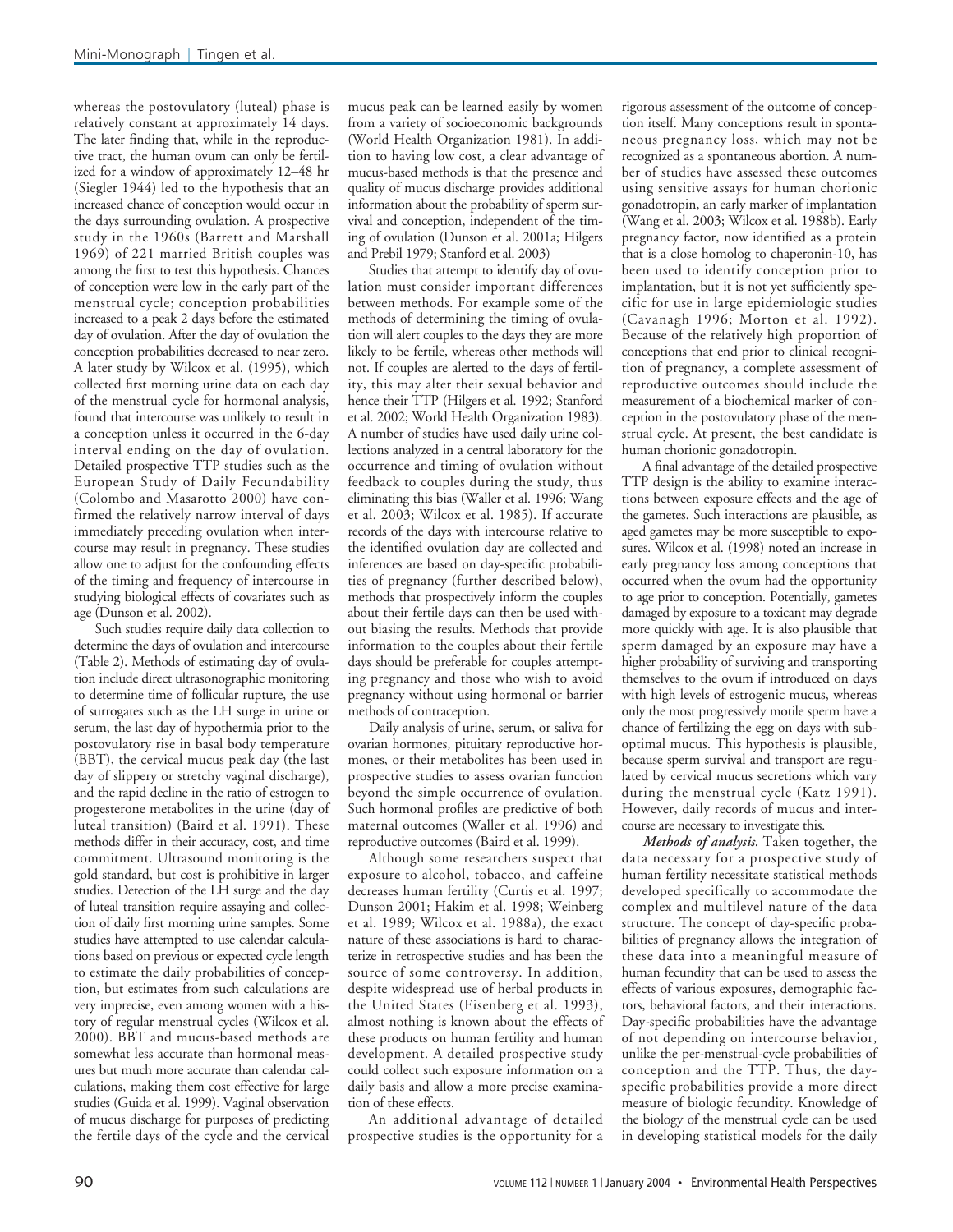whereas the postovulatory (luteal) phase is relatively constant at approximately 14 days. The later finding that, while in the reproductive tract, the human ovum can only be fertilized for a window of approximately 12–48 hr (Siegler 1944) led to the hypothesis that an increased chance of conception would occur in the days surrounding ovulation. A prospective study in the 1960s (Barrett and Marshall 1969) of 221 married British couples was among the first to test this hypothesis. Chances of conception were low in the early part of the menstrual cycle; conception probabilities increased to a peak 2 days before the estimated day of ovulation. After the day of ovulation the conception probabilities decreased to near zero. A later study by Wilcox et al. (1995), which collected first morning urine data on each day of the menstrual cycle for hormonal analysis, found that intercourse was unlikely to result in a conception unless it occurred in the 6-day interval ending on the day of ovulation. Detailed prospective TTP studies such as the European Study of Daily Fecundability (Colombo and Masarotto 2000) have confirmed the relatively narrow interval of days immediately preceding ovulation when intercourse may result in pregnancy. These studies allow one to adjust for the confounding effects of the timing and frequency of intercourse in studying biological effects of covariates such as age (Dunson et al. 2002).

Such studies require daily data collection to determine the days of ovulation and intercourse (Table 2). Methods of estimating day of ovulation include direct ultrasonographic monitoring to determine time of follicular rupture, the use of surrogates such as the LH surge in urine or serum, the last day of hypothermia prior to the postovulatory rise in basal body temperature (BBT), the cervical mucus peak day (the last day of slippery or stretchy vaginal discharge), and the rapid decline in the ratio of estrogen to progesterone metabolites in the urine (day of luteal transition) (Baird et al. 1991). These methods differ in their accuracy, cost, and time commitment. Ultrasound monitoring is the gold standard, but cost is prohibitive in larger studies. Detection of the LH surge and the day of luteal transition require assaying and collection of daily first morning urine samples. Some studies have attempted to use calendar calculations based on previous or expected cycle length to estimate the daily probabilities of conception, but estimates from such calculations are very imprecise, even among women with a history of regular menstrual cycles (Wilcox et al. 2000). BBT and mucus-based methods are somewhat less accurate than hormonal measures but much more accurate than calendar calculations, making them cost effective for large studies (Guida et al. 1999). Vaginal observation of mucus discharge for purposes of predicting the fertile days of the cycle and the cervical

mucus peak can be learned easily by women from a variety of socioeconomic backgrounds (World Health Organization 1981). In addition to having low cost, a clear advantage of mucus-based methods is that the presence and quality of mucus discharge provides additional information about the probability of sperm survival and conception, independent of the timing of ovulation (Dunson et al. 2001a; Hilgers and Prebil 1979; Stanford et al. 2003)

Studies that attempt to identify day of ovulation must consider important differences between methods. For example some of the methods of determining the timing of ovulation will alert couples to the days they are more likely to be fertile, whereas other methods will not. If couples are alerted to the days of fertility, this may alter their sexual behavior and hence their TTP (Hilgers et al. 1992; Stanford et al. 2002; World Health Organization 1983). A number of studies have used daily urine collections analyzed in a central laboratory for the occurrence and timing of ovulation without feedback to couples during the study, thus eliminating this bias (Waller et al. 1996; Wang et al. 2003; Wilcox et al. 1985). If accurate records of the days with intercourse relative to the identified ovulation day are collected and inferences are based on day-specific probabilities of pregnancy (further described below), methods that prospectively inform the couples about their fertile days can then be used without biasing the results. Methods that provide information to the couples about their fertile days should be preferable for couples attempting pregnancy and those who wish to avoid pregnancy without using hormonal or barrier methods of contraception.

Daily analysis of urine, serum, or saliva for ovarian hormones, pituitary reproductive hormones, or their metabolites has been used in prospective studies to assess ovarian function beyond the simple occurrence of ovulation. Such hormonal profiles are predictive of both maternal outcomes (Waller et al. 1996) and reproductive outcomes (Baird et al. 1999).

Although some researchers suspect that exposure to alcohol, tobacco, and caffeine decreases human fertility (Curtis et al. 1997; Dunson 2001; Hakim et al. 1998; Weinberg et al. 1989; Wilcox et al. 1988a), the exact nature of these associations is hard to characterize in retrospective studies and has been the source of some controversy. In addition, despite widespread use of herbal products in the United States (Eisenberg et al. 1993), almost nothing is known about the effects of these products on human fertility and human development. A detailed prospective study could collect such exposure information on a daily basis and allow a more precise examination of these effects.

An additional advantage of detailed prospective studies is the opportunity for a

rigorous assessment of the outcome of conception itself. Many conceptions result in spontaneous pregnancy loss, which may not be recognized as a spontaneous abortion. A number of studies have assessed these outcomes using sensitive assays for human chorionic gonadotropin, an early marker of implantation (Wang et al. 2003; Wilcox et al. 1988b). Early pregnancy factor, now identified as a protein that is a close homolog to chaperonin-10, has been used to identify conception prior to implantation, but it is not yet sufficiently specific for use in large epidemiologic studies (Cavanagh 1996; Morton et al. 1992). Because of the relatively high proportion of conceptions that end prior to clinical recognition of pregnancy, a complete assessment of reproductive outcomes should include the measurement of a biochemical marker of conception in the postovulatory phase of the menstrual cycle. At present, the best candidate is human chorionic gonadotropin.

A final advantage of the detailed prospective TTP design is the ability to examine interactions between exposure effects and the age of the gametes. Such interactions are plausible, as aged gametes may be more susceptible to exposures. Wilcox et al. (1998) noted an increase in early pregnancy loss among conceptions that occurred when the ovum had the opportunity to age prior to conception. Potentially, gametes damaged by exposure to a toxicant may degrade more quickly with age. It is also plausible that sperm damaged by an exposure may have a higher probability of surviving and transporting themselves to the ovum if introduced on days with high levels of estrogenic mucus, whereas only the most progressively motile sperm have a chance of fertilizing the egg on days with suboptimal mucus. This hypothesis is plausible, because sperm survival and transport are regulated by cervical mucus secretions which vary during the menstrual cycle (Katz 1991). However, daily records of mucus and intercourse are necessary to investigate this.

*Methods of analysis.* Taken together, the data necessary for a prospective study of human fertility necessitate statistical methods developed specifically to accommodate the complex and multilevel nature of the data structure. The concept of day-specific probabilities of pregnancy allows the integration of these data into a meaningful measure of human fecundity that can be used to assess the effects of various exposures, demographic factors, behavioral factors, and their interactions. Day-specific probabilities have the advantage of not depending on intercourse behavior, unlike the per-menstrual-cycle probabilities of conception and the TTP. Thus, the dayspecific probabilities provide a more direct measure of biologic fecundity. Knowledge of the biology of the menstrual cycle can be used in developing statistical models for the daily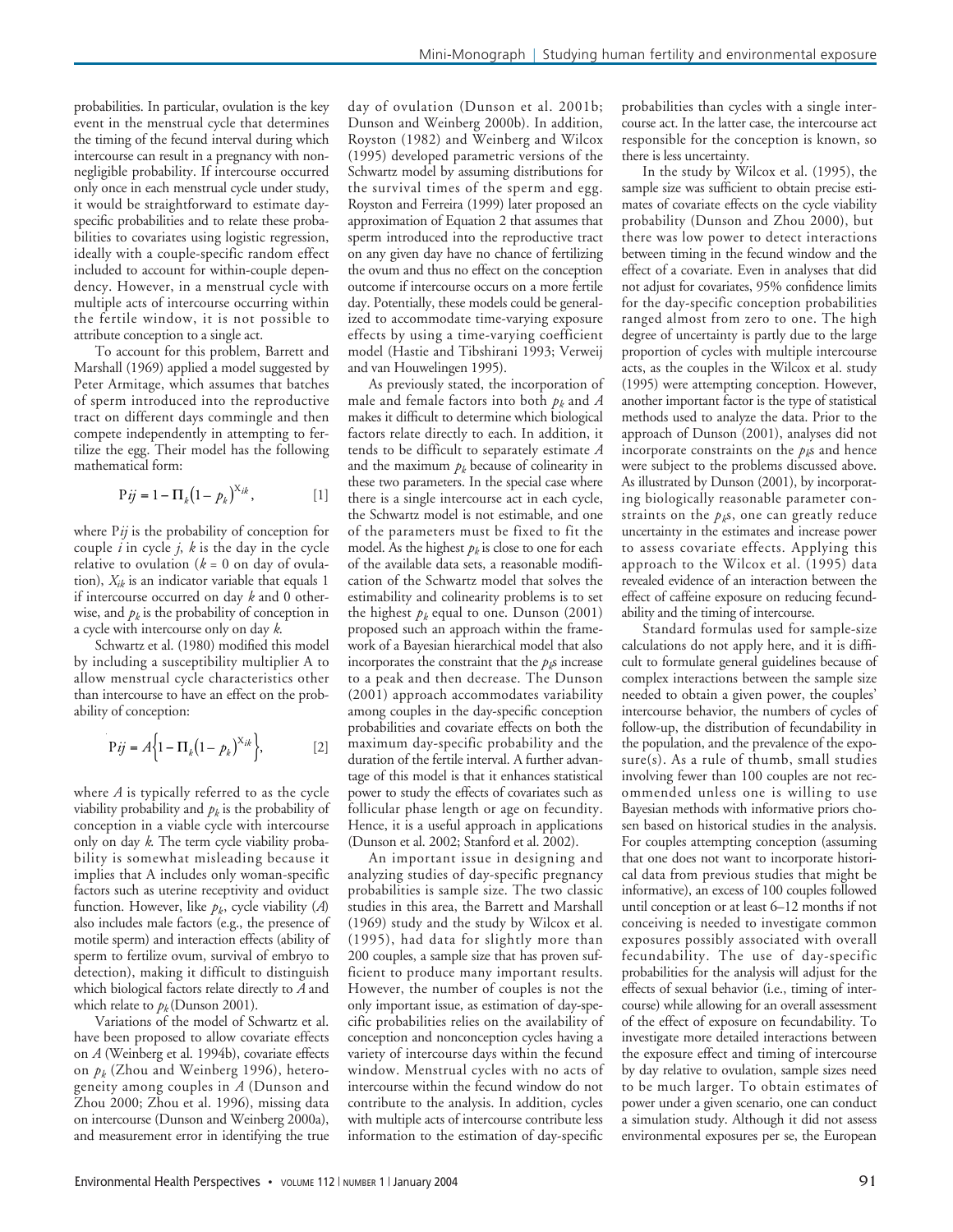probabilities. In particular, ovulation is the key event in the menstrual cycle that determines the timing of the fecund interval during which intercourse can result in a pregnancy with nonnegligible probability. If intercourse occurred only once in each menstrual cycle under study, it would be straightforward to estimate dayspecific probabilities and to relate these probabilities to covariates using logistic regression, ideally with a couple-specific random effect included to account for within-couple dependency. However, in a menstrual cycle with multiple acts of intercourse occurring within the fertile window, it is not possible to attribute conception to a single act.

To account for this problem, Barrett and Marshall (1969) applied a model suggested by Peter Armitage, which assumes that batches of sperm introduced into the reproductive tract on different days commingle and then compete independently in attempting to fertilize the egg. Their model has the following mathematical form:

$$
Pij = 1 - \Pi_k (1 - p_k)^{X_{ik}},
$$
 [1]

where P*ij* is the probability of conception for couple  $i$  in cycle  $j$ ,  $k$  is the day in the cycle relative to ovulation  $(k = 0$  on day of ovulation), *Xik* is an indicator variable that equals 1 if intercourse occurred on day *k* and 0 otherwise, and  $p_k$  is the probability of conception in a cycle with intercourse only on day *k*.

Schwartz et al. (1980) modified this model by including a susceptibility multiplier A to allow menstrual cycle characteristics other than intercourse to have an effect on the probability of conception:

$$
\mathbf{P}ij = A \Big\{ \mathbf{I} - \Pi_k \big( \mathbf{I} - p_k \big)^{X_{ik}} \Big\},\tag{2}
$$

where *A* is typically referred to as the cycle viability probability and  $p_k$  is the probability of conception in a viable cycle with intercourse only on day *k*. The term cycle viability probability is somewhat misleading because it implies that A includes only woman-specific factors such as uterine receptivity and oviduct function. However, like  $p_k$ , cycle viability  $(A)$ also includes male factors (e.g., the presence of motile sperm) and interaction effects (ability of sperm to fertilize ovum, survival of embryo to detection), making it difficult to distinguish which biological factors relate directly to *A* and which relate to  $p_k$  (Dunson 2001).

Variations of the model of Schwartz et al. have been proposed to allow covariate effects on *A* (Weinberg et al. 1994b), covariate effects on *pk* (Zhou and Weinberg 1996), heterogeneity among couples in *A* (Dunson and Zhou 2000; Zhou et al. 1996), missing data on intercourse (Dunson and Weinberg 2000a), and measurement error in identifying the true day of ovulation (Dunson et al. 2001b; Dunson and Weinberg 2000b). In addition, Royston (1982) and Weinberg and Wilcox (1995) developed parametric versions of the Schwartz model by assuming distributions for the survival times of the sperm and egg. Royston and Ferreira (1999) later proposed an approximation of Equation 2 that assumes that sperm introduced into the reproductive tract on any given day have no chance of fertilizing the ovum and thus no effect on the conception outcome if intercourse occurs on a more fertile day. Potentially, these models could be generalized to accommodate time-varying exposure effects by using a time-varying coefficient model (Hastie and Tibshirani 1993; Verweij and van Houwelingen 1995).

As previously stated, the incorporation of male and female factors into both *pk* and *A* makes it difficult to determine which biological factors relate directly to each. In addition, it tends to be difficult to separately estimate *A* and the maximum  $p_k$  because of colinearity in these two parameters. In the special case where there is a single intercourse act in each cycle, the Schwartz model is not estimable, and one of the parameters must be fixed to fit the model. As the highest  $p_k$  is close to one for each of the available data sets, a reasonable modification of the Schwartz model that solves the estimability and colinearity problems is to set the highest  $p_k$  equal to one. Dunson (2001) proposed such an approach within the framework of a Bayesian hierarchical model that also incorporates the constraint that the  $p_k$ s increase to a peak and then decrease. The Dunson (2001) approach accommodates variability among couples in the day-specific conception probabilities and covariate effects on both the maximum day-specific probability and the duration of the fertile interval. A further advantage of this model is that it enhances statistical power to study the effects of covariates such as follicular phase length or age on fecundity. Hence, it is a useful approach in applications (Dunson et al. 2002; Stanford et al. 2002).

An important issue in designing and analyzing studies of day-specific pregnancy probabilities is sample size. The two classic studies in this area, the Barrett and Marshall (1969) study and the study by Wilcox et al. (1995), had data for slightly more than 200 couples, a sample size that has proven sufficient to produce many important results. However, the number of couples is not the only important issue, as estimation of day-specific probabilities relies on the availability of conception and nonconception cycles having a variety of intercourse days within the fecund window. Menstrual cycles with no acts of intercourse within the fecund window do not contribute to the analysis. In addition, cycles with multiple acts of intercourse contribute less information to the estimation of day-specific

probabilities than cycles with a single intercourse act. In the latter case, the intercourse act responsible for the conception is known, so there is less uncertainty.

In the study by Wilcox et al. (1995), the sample size was sufficient to obtain precise estimates of covariate effects on the cycle viability there was low power to detect interactions between timing in the fecund window and the effect of a covariate. Even in analyses that did not adjust for covariates, 95% confidence limits for the day-specific conception probabilities degree of uncertainty is partly due to the large proportion of cycles with multiple intercourse acts, as the couples in the Wilcox et al. study (1995) were attempting conception. However, another important factor is the type of statistical methods used to analyze the data. Prior to the approach of Dunson (2001), analyses did not incorporate constraints on the  $p<sub>k</sub>$ s and hence were subject to the problems discussed above. As illustrated by Dunson (2001), by incorporating biologically reasonable parameter constraints on the  $p<sub>k</sub>$ s, one can greatly reduce uncertainty in the estimates and increase power to assess covariate effects. Applying this approach to the Wilcox et al. (1995) data revealed evidence of an interaction between the effect of caffeine exposure on reducing fecundability and the timing of intercourse. probability (Dunson and Zhou 2000), but ranged almost from zero to one. The high

Standard formulas used for sample-size calculations do not apply here, and it is difficult to formulate general guidelines because of complex interactions between the sample size needed to obtain a given power, the couples' intercourse behavior, the numbers of cycles of follow-up, the distribution of fecundability in the population, and the prevalence of the expo $sure(s)$ . As a rule of thumb, small studies involving fewer than 100 couples are not recommended unless one is willing to use Bayesian methods with informative priors chosen based on historical studies in the analysis. For couples attempting conception (assuming that one does not want to incorporate historical data from previous studies that might be informative), an excess of 100 couples followed until conception or at least 6–12 months if not conceiving is needed to investigate common exposures possibly associated with overall fecundability. The use of day-specific probabilities for the analysis will adjust for the effects of sexual behavior (i.e., timing of intercourse) while allowing for an overall assessment of the effect of exposure on fecundability. To investigate more detailed interactions between the exposure effect and timing of intercourse by day relative to ovulation, sample sizes need to be much larger. To obtain estimates of power under a given scenario, one can conduct a simulation study. Although it did not assess environmental exposures per se, the European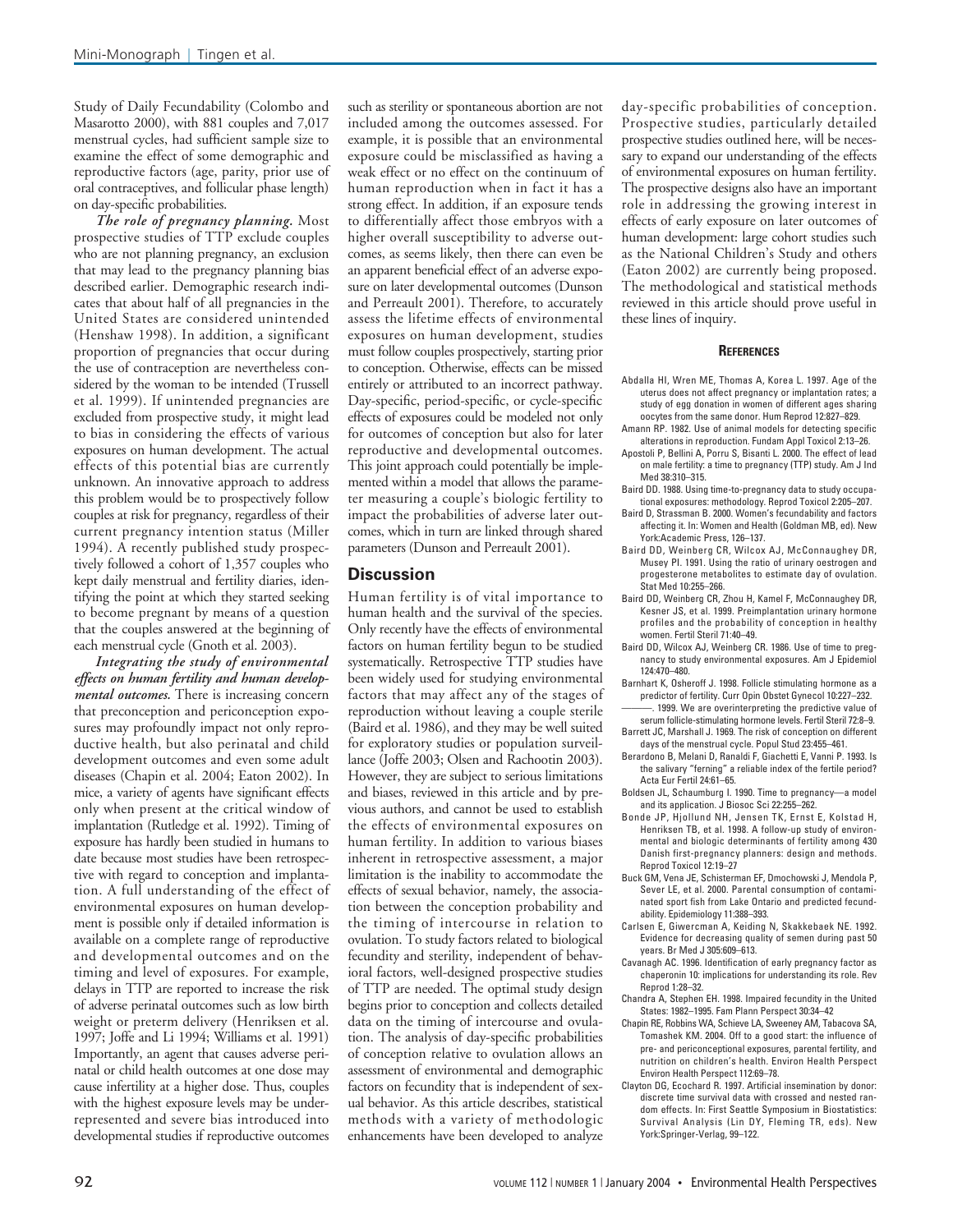Study of Daily Fecundability (Colombo and Masarotto 2000), with 881 couples and 7,017 menstrual cycles, had sufficient sample size to examine the effect of some demographic and reproductive factors (age, parity, prior use of oral contraceptives, and follicular phase length) on day-specific probabilities.

*The role of pregnancy planning.* Most prospective studies of TTP exclude couples who are not planning pregnancy, an exclusion that may lead to the pregnancy planning bias described earlier. Demographic research indicates that about half of all pregnancies in the United States are considered unintended (Henshaw 1998). In addition, a significant proportion of pregnancies that occur during the use of contraception are nevertheless considered by the woman to be intended (Trussell et al. 1999). If unintended pregnancies are excluded from prospective study, it might lead to bias in considering the effects of various exposures on human development. The actual effects of this potential bias are currently unknown. An innovative approach to address this problem would be to prospectively follow couples at risk for pregnancy, regardless of their current pregnancy intention status (Miller 1994). A recently published study prospectively followed a cohort of 1,357 couples who kept daily menstrual and fertility diaries, identifying the point at which they started seeking to become pregnant by means of a question that the couples answered at the beginning of each menstrual cycle (Gnoth et al. 2003).

*Integrating the study of environmental effects on human fertility and human developmental outcomes.* There is increasing concern that preconception and periconception exposures may profoundly impact not only reproductive health, but also perinatal and child development outcomes and even some adult diseases (Chapin et al. 2004; Eaton 2002). In mice, a variety of agents have significant effects only when present at the critical window of implantation (Rutledge et al. 1992). Timing of exposure has hardly been studied in humans to date because most studies have been retrospective with regard to conception and implantation. A full understanding of the effect of environmental exposures on human development is possible only if detailed information is available on a complete range of reproductive and developmental outcomes and on the timing and level of exposures. For example, delays in TTP are reported to increase the risk of adverse perinatal outcomes such as low birth weight or preterm delivery (Henriksen et al. 1997; Joffe and Li 1994; Williams et al. 1991) Importantly, an agent that causes adverse perinatal or child health outcomes at one dose may cause infertility at a higher dose. Thus, couples with the highest exposure levels may be underrepresented and severe bias introduced into developmental studies if reproductive outcomes

such as sterility or spontaneous abortion are not included among the outcomes assessed. For example, it is possible that an environmental exposure could be misclassified as having a weak effect or no effect on the continuum of human reproduction when in fact it has a strong effect. In addition, if an exposure tends to differentially affect those embryos with a higher overall susceptibility to adverse outcomes, as seems likely, then there can even be an apparent beneficial effect of an adverse exposure on later developmental outcomes (Dunson and Perreault 2001). Therefore, to accurately assess the lifetime effects of environmental exposures on human development, studies must follow couples prospectively, starting prior to conception. Otherwise, effects can be missed entirely or attributed to an incorrect pathway. Day-specific, period-specific, or cycle-specific effects of exposures could be modeled not only for outcomes of conception but also for later reproductive and developmental outcomes. This joint approach could potentially be implemented within a model that allows the parameter measuring a couple's biologic fertility to impact the probabilities of adverse later outcomes, which in turn are linked through shared parameters (Dunson and Perreault 2001).

#### **Discussion**

Human fertility is of vital importance to human health and the survival of the species. Only recently have the effects of environmental factors on human fertility begun to be studied systematically. Retrospective TTP studies have been widely used for studying environmental factors that may affect any of the stages of reproduction without leaving a couple sterile (Baird et al. 1986), and they may be well suited for exploratory studies or population surveillance (Joffe 2003; Olsen and Rachootin 2003). However, they are subject to serious limitations and biases, reviewed in this article and by previous authors, and cannot be used to establish the effects of environmental exposures on human fertility. In addition to various biases inherent in retrospective assessment, a major limitation is the inability to accommodate the effects of sexual behavior, namely, the association between the conception probability and the timing of intercourse in relation to ovulation. To study factors related to biological fecundity and sterility, independent of behavioral factors, well-designed prospective studies of TTP are needed. The optimal study design begins prior to conception and collects detailed data on the timing of intercourse and ovulation. The analysis of day-specific probabilities of conception relative to ovulation allows an assessment of environmental and demographic factors on fecundity that is independent of sexual behavior. As this article describes, statistical methods with a variety of methodologic enhancements have been developed to analyze

day-specific probabilities of conception. Prospective studies, particularly detailed prospective studies outlined here, will be necessary to expand our understanding of the effects of environmental exposures on human fertility. The prospective designs also have an important role in addressing the growing interest in effects of early exposure on later outcomes of human development: large cohort studies such as the National Children's Study and others (Eaton 2002) are currently being proposed. The methodological and statistical methods reviewed in this article should prove useful in these lines of inquiry.

#### **REFERENCES**

- Abdalla HI, Wren ME, Thomas A, Korea L. 1997. Age of the uterus does not affect pregnancy or implantation rates; a study of egg donation in women of different ages sharing oocytes from the same donor. Hum Reprod 12:827–829.
- Amann RP. 1982. Use of animal models for detecting specific alterations in reproduction. Fundam Appl Toxicol 2:13–26.
- Apostoli P, Bellini A, Porru S, Bisanti L. 2000. The effect of lead on male fertility: a time to pregnancy (TTP) study. Am J Ind Med 38:310–315.
- Baird DD. 1988. Using time-to-pregnancy data to study occupational exposures: methodology. Reprod Toxicol 2:205–207.
- Baird D, Strassman B. 2000. Women's fecundability and factors affecting it. In: Women and Health (Goldman MB, ed). New York:Academic Press, 126–137.
- Baird DD, Weinberg CR, Wilcox AJ, McConnaughey DR, Musey PI. 1991. Using the ratio of urinary oestrogen and progesterone metabolites to estimate day of ovulation. Stat Med 10:255–266.
- Baird DD, Weinberg CR, Zhou H, Kamel F, McConnaughey DR, Kesner JS, et al. 1999. Preimplantation urinary hormone profiles and the probability of conception in healthy women. Fertil Steril 71:40–49.
- Baird DD, Wilcox AJ, Weinberg CR. 1986. Use of time to pregnancy to study environmental exposures. Am J Epidemiol 124:470–480.
- Barnhart K, Osheroff J. 1998. Follicle stimulating hormone as a predictor of fertility. Curr Opin Obstet Gynecol 10:227–232.
- ———. 1999. We are overinterpreting the predictive value of serum follicle-stimulating hormone levels. Fertil Steril 72:8–9. Barrett JC, Marshall J. 1969. The risk of conception on different
- days of the menstrual cycle. Popul Stud 23:455–461. Berardono B, Melani D, Ranaldi F, Giachetti E, Vanni P. 1993. Is the salivary "ferning" a reliable index of the fertile period?
- Acta Eur Fertil 24:61–65. Boldsen JL, Schaumburg I. 1990. Time to pregnancy—a model
- and its application. J Biosoc Sci 22:255–262. Bonde JP, Hjollund NH, Jensen TK, Ernst E, Kolstad H,
- Henriksen TB, et al. 1998. A follow-up study of environmental and biologic determinants of fertility among 430 Danish first-pregnancy planners: design and methods. Reprod Toxicol 12:19–27
- Buck GM, Vena JE, Schisterman EF, Dmochowski J, Mendola P, Sever LE, et al. 2000. Parental consumption of contaminated sport fish from Lake Ontario and predicted fecundability. Epidemiology 11:388–393.
- Carlsen E, Giwercman A, Keiding N, Skakkebaek NE. 1992. Evidence for decreasing quality of semen during past 50 years. Br Med J 305:609–613.
- Cavanagh AC. 1996. Identification of early pregnancy factor as chaperonin 10: implications for understanding its role. Rev Reprod 1:28–32.
- Chandra A, Stephen EH. 1998. Impaired fecundity in the United States: 1982–1995. Fam Plann Perspect 30:34–42
- Chapin RE, Robbins WA, Schieve LA, Sweeney AM, Tabacova SA, Tomashek KM. 2004. Off to a good start: the influence of pre- and periconceptional exposures, parental fertility, and nutrition on children's health. Environ Health Perspect Environ Health Perspect 112:69–78.
- Clayton DG, Ecochard R. 1997. Artificial insemination by donor: discrete time survival data with crossed and nested random effects. In: First Seattle Symposium in Biostatistics: Survival Analysis (Lin DY, Fleming TR, eds). New York:Springer-Verlag, 99–122.